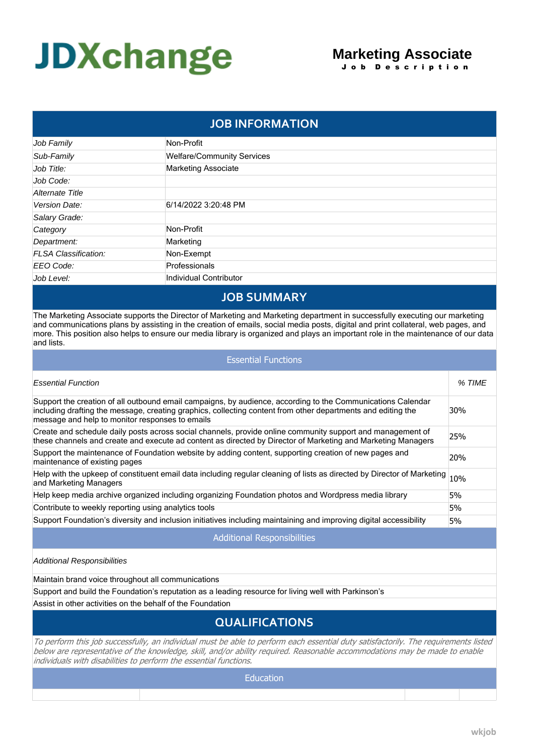# **JDXchange**

### **Marketing Associate** J o b D e s c r i p t i o n

| <b>JOB INFORMATION</b>      |                                   |  |
|-----------------------------|-----------------------------------|--|
| Job Family                  | Non-Profit                        |  |
| Sub-Family                  | <b>Welfare/Community Services</b> |  |
| Job Title:                  | <b>Marketing Associate</b>        |  |
| Job Code:                   |                                   |  |
| Alternate Title             |                                   |  |
| Version Date:               | 6/14/2022 3:20:48 PM              |  |
| Salary Grade:               |                                   |  |
| Category                    | Non-Profit                        |  |
| Department:                 | Marketing                         |  |
| <b>FLSA Classification:</b> | Non-Exempt                        |  |
| EEO Code:                   | Professionals                     |  |
| Job Level:                  | Individual Contributor            |  |

## **JOB SUMMARY**

The Marketing Associate supports the Director of Marketing and Marketing department in successfully executing our marketing and communications plans by assisting in the creation of emails, social media posts, digital and print collateral, web pages, and more. This position also helps to ensure our media library is organized and plays an important role in the maintenance of our data and lists.

| <b>Essential Functions</b>                                                                                                                                                                                                                                                     |        |  |  |
|--------------------------------------------------------------------------------------------------------------------------------------------------------------------------------------------------------------------------------------------------------------------------------|--------|--|--|
| <b>Essential Function</b>                                                                                                                                                                                                                                                      | % TIME |  |  |
| Support the creation of all outbound email campaigns, by audience, according to the Communications Calendar<br>including drafting the message, creating graphics, collecting content from other departments and editing the<br>message and help to monitor responses to emails | 30%    |  |  |
| Create and schedule daily posts across social channels, provide online community support and management of<br>these channels and create and execute ad content as directed by Director of Marketing and Marketing Managers                                                     | 25%    |  |  |
| Support the maintenance of Foundation website by adding content, supporting creation of new pages and<br>maintenance of existing pages                                                                                                                                         | 20%    |  |  |
| Help with the upkeep of constituent email data including regular cleaning of lists as directed by Director of Marketing<br>and Marketing Managers                                                                                                                              | 10%    |  |  |
| Help keep media archive organized including organizing Foundation photos and Wordpress media library                                                                                                                                                                           | 5%     |  |  |
| Contribute to weekly reporting using analytics tools                                                                                                                                                                                                                           | 5%     |  |  |
| Support Foundation's diversity and inclusion initiatives including maintaining and improving digital accessibility                                                                                                                                                             | 5%     |  |  |
| <b>Additional Responsibilities</b>                                                                                                                                                                                                                                             |        |  |  |
| Additional Responsibilities                                                                                                                                                                                                                                                    |        |  |  |

Maintain brand voice throughout all communications

Support and build the Foundation's reputation as a leading resource for living well with Parkinson's

Assist in other activities on the behalf of the Foundation

# **QUALIFICATIONS**

*To perform this job successfully, an individual must be able to perform each essential duty satisfactorily. The requirements listed below are representative of the knowledge, skill, and/or ability required. Reasonable accommodations may be made to enable individuals with disabilities to perform the essential functions.*

**Education**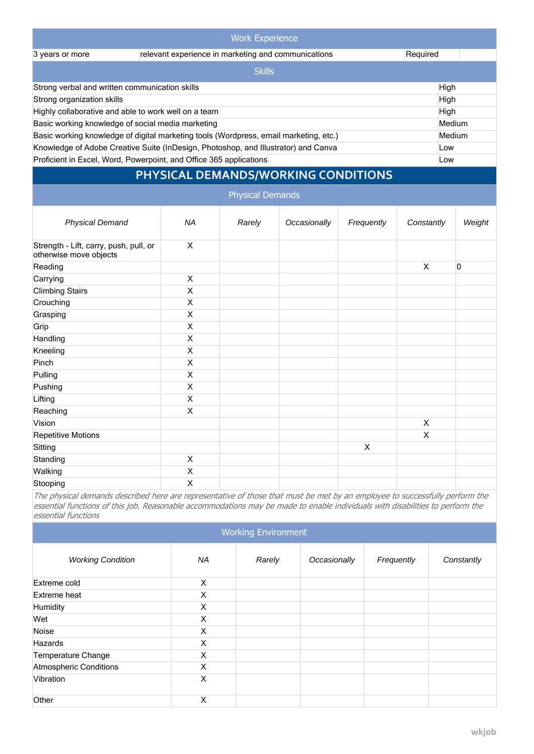| <b>Work Experience</b>                                                                    |               |  |        |
|-------------------------------------------------------------------------------------------|---------------|--|--------|
| relevant experience in marketing and communications<br>Required<br>3 years or more        |               |  |        |
|                                                                                           | <b>Skills</b> |  |        |
| Strong verbal and written communication skills<br>High                                    |               |  |        |
| Strong organization skills<br>High                                                        |               |  |        |
| Highly collaborative and able to work well on a team<br>High                              |               |  |        |
| Basic working knowledge of social media marketing                                         |               |  | Medium |
| Basic working knowledge of digital marketing tools (Wordpress, email marketing, etc.)     |               |  | Medium |
| Knowledge of Adobe Creative Suite (InDesign, Photoshop, and Illustrator) and Canva<br>Low |               |  |        |
| Proficient in Excel, Word, Powerpoint, and Office 365 applications<br>Low                 |               |  |        |

# **PHYSICAL DEMANDS/WORKING CONDITIONS**

| <b>Physical Demands</b>                                          |           |        |              |                |              |        |
|------------------------------------------------------------------|-----------|--------|--------------|----------------|--------------|--------|
| <b>Physical Demand</b>                                           | <b>NA</b> | Rarely | Occasionally | Frequently     | Constantly   | Weight |
| Strength - Lift, carry, push, pull, or<br>otherwise move objects | X         |        |              |                |              |        |
| Reading                                                          |           |        |              |                | X            | 0      |
| Carrying                                                         | Χ         |        |              |                |              |        |
| <b>Climbing Stairs</b>                                           | X         |        |              |                |              |        |
| Crouching                                                        | X         |        |              |                |              |        |
| Grasping                                                         | X         |        |              |                |              |        |
| Grip                                                             | X         |        |              |                |              |        |
| Handling                                                         | X         |        |              |                |              |        |
| Kneeling                                                         | X         |        |              |                |              |        |
| Pinch                                                            | X         |        |              |                |              |        |
| Pulling                                                          | X         |        |              |                |              |        |
| Pushing                                                          | X         |        |              |                |              |        |
| Lifting                                                          | X         |        |              |                |              |        |
| Reaching                                                         | X         |        |              |                |              |        |
| Vision                                                           |           |        |              |                | $\mathsf{X}$ |        |
| <b>Repetitive Motions</b>                                        |           |        |              |                | X            |        |
| Sitting                                                          |           |        |              | $\pmb{\times}$ |              |        |
| Standing                                                         | X         |        |              |                |              |        |
| Walking                                                          | X         |        |              |                |              |        |
| Stooping                                                         | X         |        |              |                |              |        |

*The physical demands described here are representative of those that must be met by an employee to successfully perform the essential functions of this job. Reasonable accommodations may be made to enable individuals with disabilities to perform the essential functions*

| <b>Working Environment</b>    |          |        |              |            |            |
|-------------------------------|----------|--------|--------------|------------|------------|
| <b>Working Condition</b>      | NA       | Rarely | Occasionally | Frequently | Constantly |
| Extreme cold                  | X        |        |              |            |            |
| Extreme heat                  | X        |        |              |            |            |
| Humidity                      | X        |        |              |            |            |
| Wet                           | X        |        |              |            |            |
| Noise                         | X        |        |              |            |            |
| Hazards                       | X        |        |              |            |            |
| <b>Temperature Change</b>     | X        |        |              |            |            |
| <b>Atmospheric Conditions</b> | X        |        |              |            |            |
| Vibration                     | $\times$ |        |              |            |            |
| Other                         | X        |        |              |            |            |